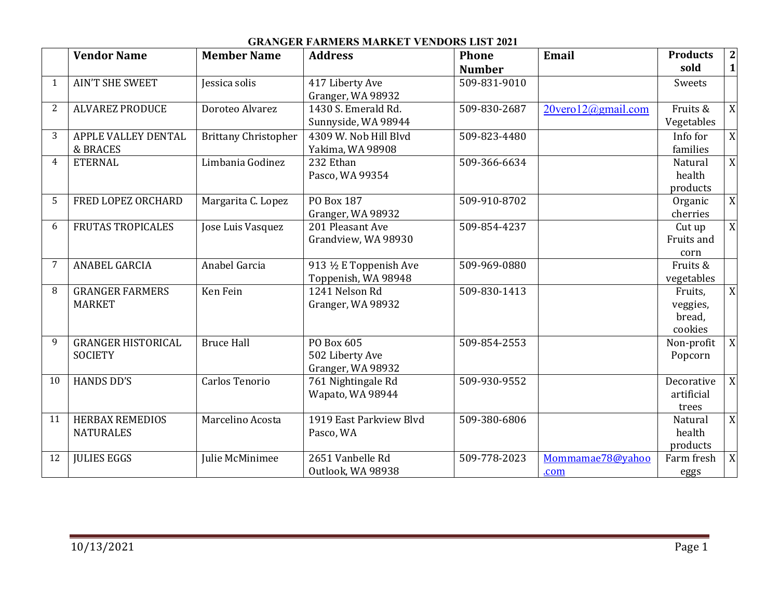## **GRANGER FARMERS MARKET VENDORS LIST 2021 Vendor Name Member Name Address Phone Number Email Products sold 2 1** 1 | AIN'T SHE SWEET | Jessica solis | 417 Liberty Ave Granger, WA 98932<br>1430 S. Emerald Rd. 509-831-9010 Sweets 2 | ALVAREZ PRODUCE | Doroteo Alvarez Sunnyside, WA 98944 509-830-2687  $\big| 20$ vero $12$ @gmail.com Fruits & Vegetables<br>Info for X 3 APPLE VALLEY DENTAL **& BRACES**<br>ETERNAL Brittany Christopher Yakima, WA 98908<br>232 Ethan 509-823-4480 families<br>Natural X 4 ETERNAL Limbania Godinez Pasco, WA 99354 509-366-6634 health products<br>Organic X 5 FRED LOPEZ ORCHARD Margarita C. Lopez PO Box 187 Granger, WA 98932 509-910-8702 cherries<br>Cut up X  $\overline{6}$  | FRUTAS TROPICALES | Jose Luis Vasquez Grandview, WA 98930 509-854-4237 Fruits and corn<br>Fruits & X 7 ANABEL GARCIA Anabel Garcia 913 ½ E Toppenish Ave Toppenish, WA 98948 509-969-0880 vegetables<br>Fruits, 8 GRANGER FARMERS MARKET Ken Fein 1241 Nelson Rd Granger, WA 98932 509-830-1413 veggies, bread, cookies<br>Non-profit X 9 GRANGER HISTORICAL **SOCIETY** Bruce Hall PO Box 605 502 Liberty Ave Granger, WA 98932 509-854-2553 Popcorn X 10 HANDS DD'S Carlos Tenorio 761 Nightingale Rd Wapato, WA 98944 509-930-9552 Decorative artificial trees<br>Natural X 11 HERBAX REMEDIOS NATURALES Marcelino Acosta | 1919 East Parkview Blvd Pasco, WA 509-380-6806 health products X 12 JULIES EGGS Julie McMinimee 12651 Vanbelle Rd Outlook, WA 98938 509-778-2023 [Mommamae78@yahoo](mailto:Mommamae78@yahoo.com) [.com](mailto:Mommamae78@yahoo.com) Farm fresh eggs X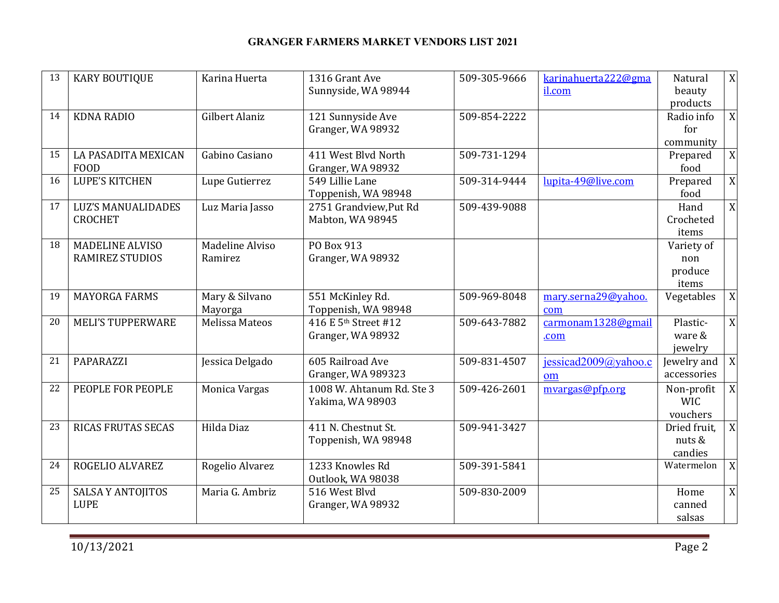## **GRANGER FARMERS MARKET VENDORS LIST 2021**

| 13 | <b>KARY BOUTIQUE</b>                        | Karina Huerta              | 1316 Grant Ave<br>Sunnyside, WA 98944         | 509-305-9666 | karinahuerta222@gma<br>il.com | Natural<br>beauty<br>products         | $\mathbf X$           |
|----|---------------------------------------------|----------------------------|-----------------------------------------------|--------------|-------------------------------|---------------------------------------|-----------------------|
| 14 | <b>KDNA RADIO</b>                           | Gilbert Alaniz             | 121 Sunnyside Ave<br>Granger, WA 98932        | 509-854-2222 |                               | Radio info<br>for<br>community        | X                     |
| 15 | LA PASADITA MEXICAN<br><b>FOOD</b>          | Gabino Casiano             | 411 West Blvd North<br>Granger, WA 98932      | 509-731-1294 |                               | Prepared<br>food                      | $\mathbf X$           |
| 16 | <b>LUPE'S KITCHEN</b>                       | Lupe Gutierrez             | 549 Lillie Lane<br>Toppenish, WA 98948        | 509-314-9444 | lupita-49@live.com            | Prepared<br>food                      | X                     |
| 17 | <b>LUZ'S MANUALIDADES</b><br><b>CROCHET</b> | Luz Maria Jasso            | 2751 Grandview, Put Rd<br>Mabton, WA 98945    | 509-439-9088 |                               | Hand<br>Crocheted<br>items            | $\overline{\text{X}}$ |
| 18 | MADELINE ALVISO<br>RAMIREZ STUDIOS          | Madeline Alviso<br>Ramirez | PO Box 913<br>Granger, WA 98932               |              |                               | Variety of<br>non<br>produce<br>items |                       |
| 19 | <b>MAYORGA FARMS</b>                        | Mary & Silvano<br>Mayorga  | 551 McKinley Rd.<br>Toppenish, WA 98948       | 509-969-8048 | mary.serna29@vahoo.<br>com    | Vegetables                            | X                     |
| 20 | <b>MELI'S TUPPERWARE</b>                    | Melissa Mateos             | 416 E 5th Street #12<br>Granger, WA 98932     | 509-643-7882 | carmonam1328@gmail<br>.com    | Plastic-<br>ware &<br>jewelry         | $\mathbf X$           |
| 21 | PAPARAZZI                                   | Jessica Delgado            | 605 Railroad Ave<br>Granger, WA 989323        | 509-831-4507 | jessicad2009@yahoo.c<br>om    | Jewelry and<br>accessories            | $\boldsymbol{X}$      |
| 22 | PEOPLE FOR PEOPLE                           | Monica Vargas              | 1008 W. Ahtanum Rd. Ste 3<br>Yakima, WA 98903 | 509-426-2601 | mvargas@pfp.org               | Non-profit<br><b>WIC</b><br>vouchers  | X                     |
| 23 | <b>RICAS FRUTAS SECAS</b>                   | Hilda Diaz                 | 411 N. Chestnut St.<br>Toppenish, WA 98948    | 509-941-3427 |                               | Dried fruit.<br>nuts &<br>candies     | $\boldsymbol{X}$      |
| 24 | ROGELIO ALVAREZ                             | Rogelio Alvarez            | 1233 Knowles Rd<br>Outlook, WA 98038          | 509-391-5841 |                               | Watermelon                            | $\overline{X}$        |
| 25 | <b>SALSA Y ANTOJITOS</b><br><b>LUPE</b>     | Maria G. Ambriz            | 516 West Blvd<br>Granger, WA 98932            | 509-830-2009 |                               | Home<br>canned<br>salsas              | $\overline{X}$        |